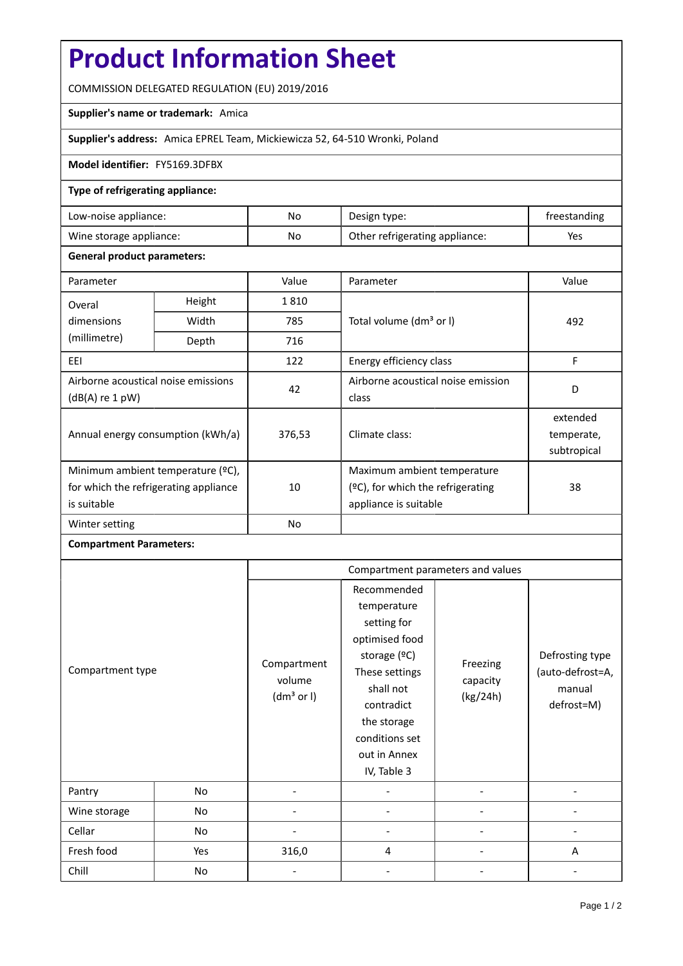# **Product Information Sheet**

COMMISSION DELEGATED REGULATION (EU) 2019/2016

## **Supplier's name or trademark:** Amica

## **Supplier's address:** Amica EPREL Team, Mickiewicza 52, 64-510 Wronki, Poland

#### **Model identifier:** FY5169.3DFBX

#### **Type of refrigerating appliance:**

| Low-noise appliance:    | No | Design type:                   | treestanding |
|-------------------------|----|--------------------------------|--------------|
| Wine storage appliance: | No | Other refrigerating appliance: | Yes          |

#### **General product parameters:**

| Parameter                                                |                | Value     | Parameter                            | Value       |
|----------------------------------------------------------|----------------|-----------|--------------------------------------|-------------|
| Overal                                                   | Height<br>1810 |           |                                      |             |
| dimensions<br>(millimetre)                               | Width          | 785       | Total volume (dm <sup>3</sup> or I)  | 492         |
|                                                          | Depth          | 716       |                                      |             |
| EEI                                                      |                | 122       | Energy efficiency class              | F           |
| Airborne acoustical noise emissions<br>$(dB(A)$ re 1 pW) |                | 42        | Airborne acoustical noise emission   | D           |
|                                                          |                |           | class                                |             |
| Annual energy consumption (kWh/a)                        |                | 376,53    |                                      | extended    |
|                                                          |                |           | Climate class:                       | temperate,  |
|                                                          |                |           |                                      | subtropical |
| Minimum ambient temperature (°C),                        |                |           | Maximum ambient temperature          |             |
| for which the refrigerating appliance                    |                | 10        | $(°C)$ , for which the refrigerating | 38          |
| is suitable                                              |                |           | appliance is suitable                |             |
| Winter setting                                           |                | <b>No</b> |                                      |             |

## **Compartment Parameters:**

|                  |     | Compartment parameters and values               |                                                                                                                                                                                          |                                  |                                                             |
|------------------|-----|-------------------------------------------------|------------------------------------------------------------------------------------------------------------------------------------------------------------------------------------------|----------------------------------|-------------------------------------------------------------|
| Compartment type |     | Compartment<br>volume<br>(dm <sup>3</sup> or I) | Recommended<br>temperature<br>setting for<br>optimised food<br>storage (ºC)<br>These settings<br>shall not<br>contradict<br>the storage<br>conditions set<br>out in Annex<br>IV, Table 3 | Freezing<br>capacity<br>(kg/24h) | Defrosting type<br>(auto-defrost=A,<br>manual<br>defrost=M) |
| Pantry           | No  |                                                 |                                                                                                                                                                                          |                                  |                                                             |
| Wine storage     | No  |                                                 |                                                                                                                                                                                          |                                  |                                                             |
| Cellar           | No  |                                                 |                                                                                                                                                                                          |                                  |                                                             |
| Fresh food       | Yes | 316,0                                           | 4                                                                                                                                                                                        |                                  | A                                                           |
| Chill            | No  |                                                 |                                                                                                                                                                                          |                                  |                                                             |